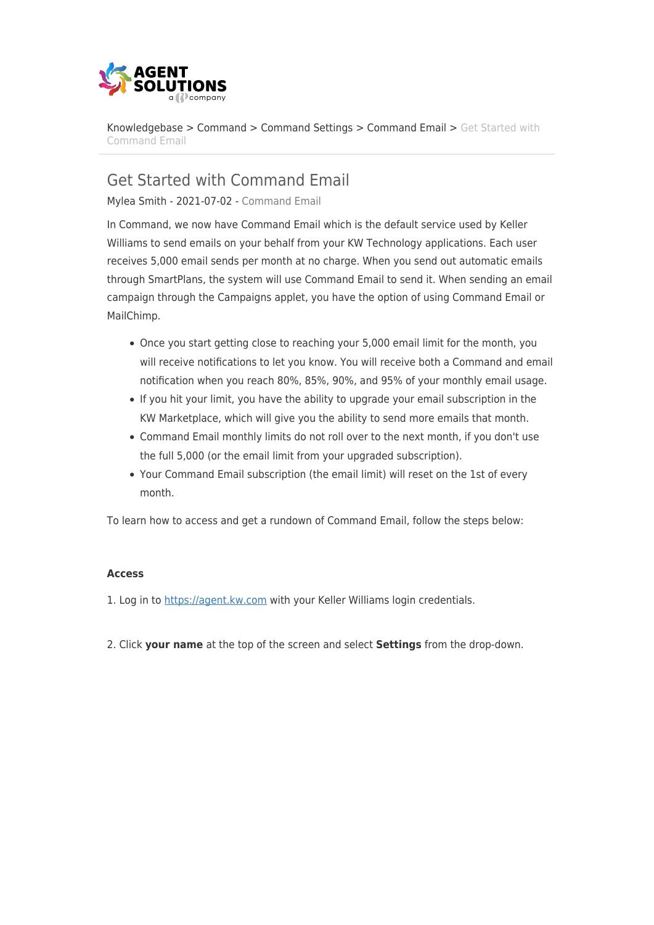

[Knowledgebase](https://support.kwgap.com/kb) > [Command](https://support.kwgap.com/kb/command) > [Command Settings](https://support.kwgap.com/kb/command-settings) > [Command Email](https://support.kwgap.com/kb/command-email) > [Get Started with](https://support.kwgap.com/kb/articles/get-started-with-command-email) [Command Email](https://support.kwgap.com/kb/articles/get-started-with-command-email)

Get Started with Command Email

Mylea Smith - 2021-07-02 - [Command Email](https://support.kwgap.com/kb/command-email)

In Command, we now have Command Email which is the default service used by Keller Williams to send emails on your behalf from your KW Technology applications. Each user receives 5,000 email sends per month at no charge. When you send out automatic emails through SmartPlans, the system will use Command Email to send it. When sending an email campaign through the Campaigns applet, you have the option of using Command Email or MailChimp.

- Once you start getting close to reaching your 5,000 email limit for the month, you will receive notifications to let you know. You will receive both a Command and email notification when you reach 80%, 85%, 90%, and 95% of your monthly email usage.
- If you hit your limit, you have the ability to upgrade your email subscription in the KW Marketplace, which will give you the ability to send more emails that month.
- Command Email monthly limits do not roll over to the next month, if you don't use the full 5,000 (or the email limit from your upgraded subscription).
- Your Command Email subscription (the email limit) will reset on the 1st of every month.

To learn how to access and get a rundown of Command Email, follow the steps below:

## **Access**

1. Log in to [https://agent.kw.com](https://agent.kw.com/) with your Keller Williams login credentials.

2. Click **your name** at the top of the screen and select **Settings** from the drop-down.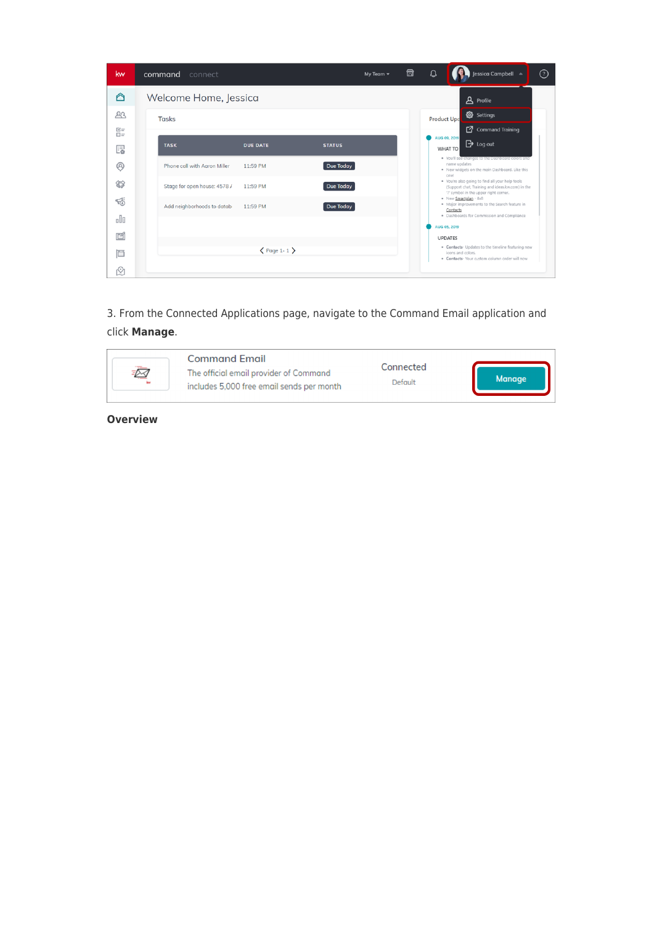| kw              | command<br>connect           |                              |               | 囹<br>My Team $\blacktriangledown$ | $\Omega$                                                                                                                                                                                                                                                                   | Jessica Campbell A                                                                                                               | $\odot$ |  |
|-----------------|------------------------------|------------------------------|---------------|-----------------------------------|----------------------------------------------------------------------------------------------------------------------------------------------------------------------------------------------------------------------------------------------------------------------------|----------------------------------------------------------------------------------------------------------------------------------|---------|--|
| ∩               | Welcome Home, Jessica        |                              |               |                                   |                                                                                                                                                                                                                                                                            | <b>A</b> Profile                                                                                                                 |         |  |
| 22<br>$\Xi$ =   | <b>Tasks</b>                 |                              |               |                                   | @ Settings<br><b>Product Upd</b><br>Command Training                                                                                                                                                                                                                       |                                                                                                                                  |         |  |
| $\square$<br>F. | <b>TASK</b>                  | <b>DUE DATE</b>              | <b>STATUS</b> |                                   | AUG 09, 2019                                                                                                                                                                                                                                                               | $\mathbf{B}$ Log out<br>WHAT TO                                                                                                  |         |  |
| ℗               | Phone call with Agron Miller | 11:59 PM                     | Due Today     |                                   | . You'll see changes to the Dashboard colors and<br>name updates<br>. New widgets on the main Dashboard. Like this<br>one!<br>. You're also going to find all your help tools<br>(Support chat, Training and ideas.kw.com) in the<br>'?' symbol in the upper right corner. |                                                                                                                                  |         |  |
| 愆               | Stage for open house: 4578 / | 11:59 PM                     | Due Today     |                                   |                                                                                                                                                                                                                                                                            |                                                                                                                                  |         |  |
| 뜫               | Add neighborhoods to datab-  | 11:59 PM                     | Due Today     |                                   |                                                                                                                                                                                                                                                                            | . New Smartplan - 8x8<br>. Major improvements to the Search feature in<br>Contacts<br>· Dashboards for Commission and Compliance |         |  |
| oOo             |                              |                              |               |                                   | AUG 05, 2019                                                                                                                                                                                                                                                               |                                                                                                                                  |         |  |
| 凹               |                              | $\langle$ Page 1-1 $\rangle$ |               |                                   |                                                                                                                                                                                                                                                                            | <b>UPDATES</b><br>. Contacts- Updates to the timeline featuring new                                                              |         |  |
| 靣<br>₾          |                              |                              |               |                                   |                                                                                                                                                                                                                                                                            | icons and colors.<br>. Contacts- Your custom column order will now                                                               |         |  |

3. From the Connected Applications page, navigate to the Command Email application and click **Manage**.



**Overview**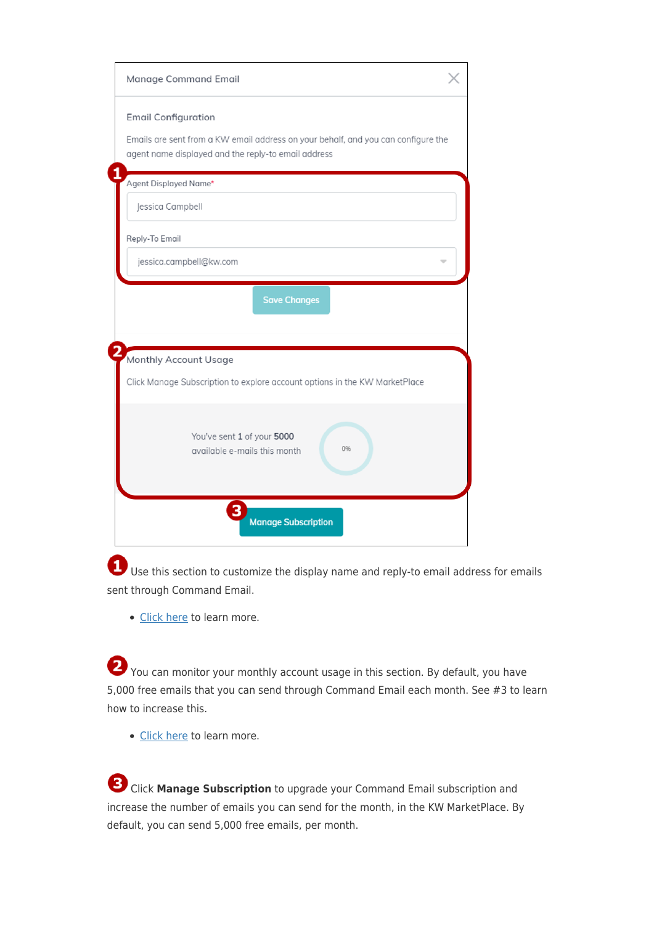| Manage Command Email                                                                                                                     |  |  |  |  |  |
|------------------------------------------------------------------------------------------------------------------------------------------|--|--|--|--|--|
| <b>Email Configuration</b>                                                                                                               |  |  |  |  |  |
| Emails are sent from a KW email address on your behalf, and you can configure the<br>agent name displayed and the reply-to email address |  |  |  |  |  |
| Agent Displayed Name*                                                                                                                    |  |  |  |  |  |
| Jessica Campbell                                                                                                                         |  |  |  |  |  |
| Reply-To Email                                                                                                                           |  |  |  |  |  |
| jessica.campbell@kw.com                                                                                                                  |  |  |  |  |  |
| <b>Save Changes</b>                                                                                                                      |  |  |  |  |  |
| Monthly Account Usage                                                                                                                    |  |  |  |  |  |
| Click Manage Subscription to explore account options in the KW MarketPlace                                                               |  |  |  |  |  |
| You've sent 1 of your 5000<br>0%<br>available e-mails this month                                                                         |  |  |  |  |  |
| <b>Manage Subscription</b>                                                                                                               |  |  |  |  |  |

 Use this section to customize the display name and reply-to email address for emails sent through Command Email.

• [Click here](https://answers.kw.com/hc/en-us/articles/360042639234) to learn more.

You can monitor your monthly account usage in this section. By default, you have 5,000 free emails that you can send through Command Email each month. See #3 to learn how to increase this.

• [Click here](https://answers.kw.com/hc/en-us/articles/360042607874) to learn more.

 Click **Manage Subscription** to upgrade your Command Email subscription and increase the number of emails you can send for the month, in the KW MarketPlace. By default, you can send 5,000 free emails, per month.